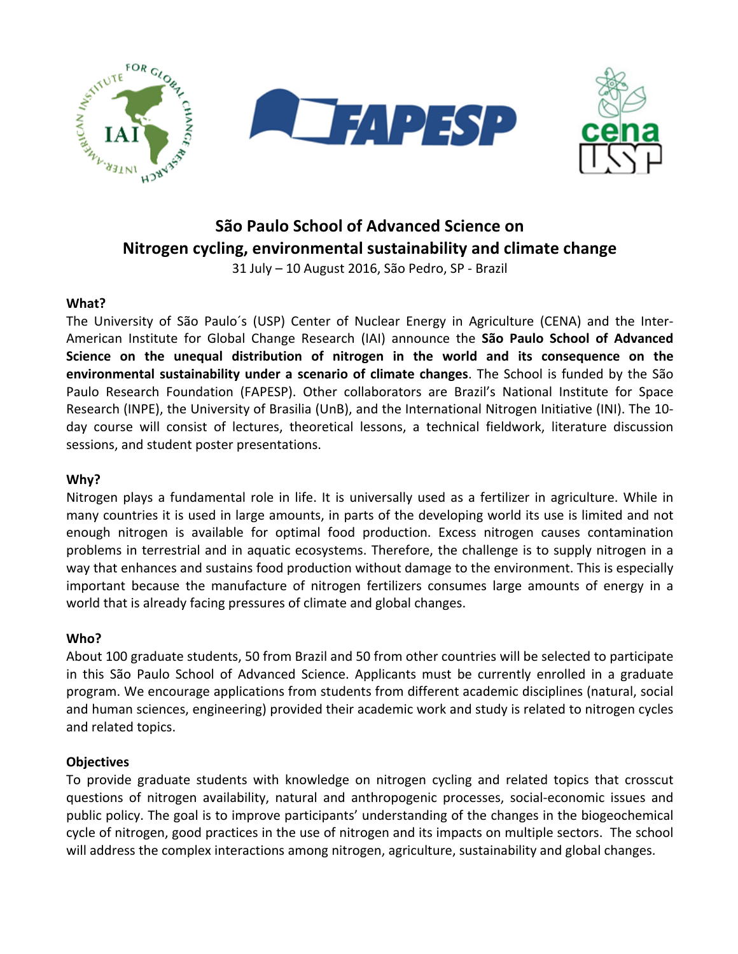

# **São Paulo School of Advanced Science on Nitrogen cycling, environmental sustainability and climate change**

31 July - 10 August 2016, São Pedro, SP - Brazil

# **What?**

The University of São Paulo's (USP) Center of Nuclear Energy in Agriculture (CENA) and the Inter-American Institute for Global Change Research (IAI) announce the **São Paulo School of Advanced** Science on the unequal distribution of nitrogen in the world and its consequence on the **environmental sustainability under a scenario of climate changes**. The School is funded by the São Paulo Research Foundation (FAPESP). Other collaborators are Brazil's National Institute for Space Research (INPE), the University of Brasilia (UnB), and the International Nitrogen Initiative (INI). The 10day course will consist of lectures, theoretical lessons, a technical fieldwork, literature discussion sessions, and student poster presentations.

## **Why?**

Nitrogen plays a fundamental role in life. It is universally used as a fertilizer in agriculture. While in many countries it is used in large amounts, in parts of the developing world its use is limited and not enough nitrogen is available for optimal food production. Excess nitrogen causes contamination problems in terrestrial and in aquatic ecosystems. Therefore, the challenge is to supply nitrogen in a way that enhances and sustains food production without damage to the environment. This is especially important because the manufacture of nitrogen fertilizers consumes large amounts of energy in a world that is already facing pressures of climate and global changes.

## **Who?**

About 100 graduate students, 50 from Brazil and 50 from other countries will be selected to participate in this São Paulo School of Advanced Science. Applicants must be currently enrolled in a graduate program. We encourage applications from students from different academic disciplines (natural, social and human sciences, engineering) provided their academic work and study is related to nitrogen cycles and related topics.

## **Objectives**

To provide graduate students with knowledge on nitrogen cycling and related topics that crosscut questions of nitrogen availability, natural and anthropogenic processes, social-economic issues and public policy. The goal is to improve participants' understanding of the changes in the biogeochemical cycle of nitrogen, good practices in the use of nitrogen and its impacts on multiple sectors. The school will address the complex interactions among nitrogen, agriculture, sustainability and global changes.